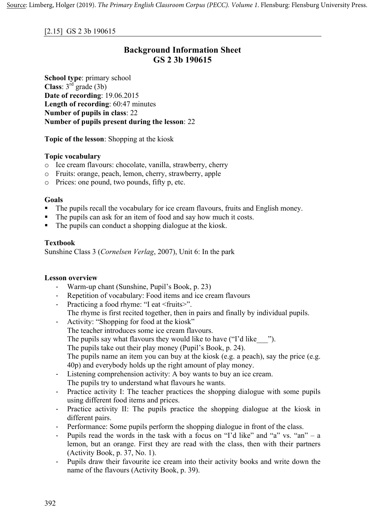### [2.15] GS 2 3b 190615

# **Background Information Sheet GS 2 3b 190615**

**School type**: primary school **Class**: 3rd grade (3b) **Date of recording**: 19.06.2015 **Length of recording**: 60:47 minutes **Number of pupils in class**: 22 **Number of pupils present during the lesson**: 22

**Topic of the lesson**: Shopping at the kiosk

### **Topic vocabulary**

- o Ice cream flavours: chocolate, vanilla, strawberry, cherry
- o Fruits: orange, peach, lemon, cherry, strawberry, apple
- o Prices: one pound, two pounds, fifty p, etc.

### **Goals**

- § The pupils recall the vocabulary for ice cream flavours, fruits and English money.
- The pupils can ask for an item of food and say how much it costs.
- The pupils can conduct a shopping dialogue at the kiosk.

## **Textbook**

Sunshine Class 3 (*Cornelsen Verlag*, 2007), Unit 6: In the park

#### **Lesson overview**

- Warm-up chant (Sunshine, Pupil's Book, p. 23)
- Repetition of vocabulary: Food items and ice cream flavours
- Practicing a food rhyme: "I eat <fruits>". The rhyme is first recited together, then in pairs and finally by individual pupils.
- Activity: "Shopping for food at the kiosk" The teacher introduces some ice cream flavours. The pupils say what flavours they would like to have ("I'd like \_\_\_"). The pupils take out their play money (Pupil's Book, p. 24). The pupils name an item you can buy at the kiosk (e.g. a peach), say the price (e.g. 40p) and everybody holds up the right amount of play money.
- Listening comprehension activity: A boy wants to buy an ice cream. The pupils try to understand what flavours he wants.
- Practice activity I: The teacher practices the shopping dialogue with some pupils using different food items and prices.
- Practice activity II: The pupils practice the shopping dialogue at the kiosk in different pairs.
- Performance: Some pupils perform the shopping dialogue in front of the class.
- Pupils read the words in the task with a focus on "I'd like" and "a" vs. "an" a lemon, but an orange. First they are read with the class, then with their partners (Activity Book, p. 37, No. 1).
- Pupils draw their favourite ice cream into their activity books and write down the name of the flavours (Activity Book, p. 39).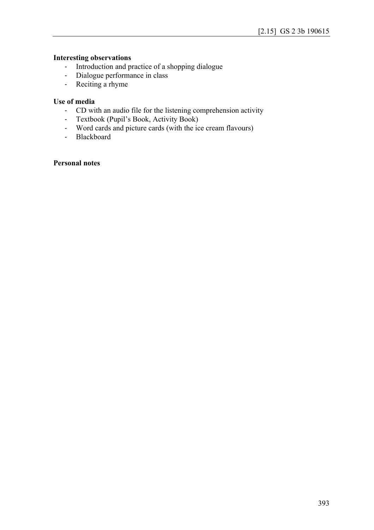# **Interesting observations**

- Introduction and practice of a shopping dialogue
- Dialogue performance in class
- Reciting a rhyme

### **Use of media**

- CD with an audio file for the listening comprehension activity
- Textbook (Pupil's Book, Activity Book)
- Word cards and picture cards (with the ice cream flavours)
- Blackboard

### **Personal notes**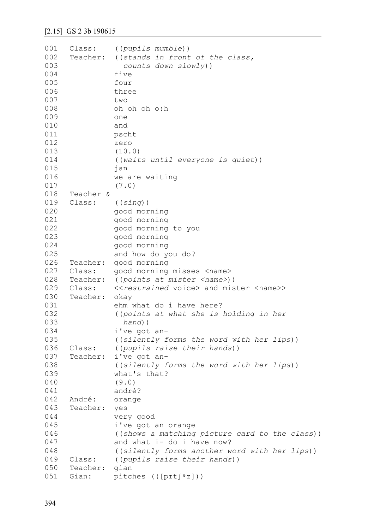| 001 | Class:    | ((pupils mumble))                                                 |
|-----|-----------|-------------------------------------------------------------------|
| 002 | Teacher:  | ((stands in front of the class,                                   |
| 003 |           | counts down slowly))                                              |
| 004 |           | five                                                              |
| 005 |           | four                                                              |
| 006 |           | three                                                             |
| 007 |           | two                                                               |
| 008 |           | oh oh oh o:h                                                      |
| 009 |           | one                                                               |
| 010 |           | and                                                               |
| 011 |           | pscht                                                             |
| 012 |           | zero                                                              |
| 013 |           | (10.0)                                                            |
| 014 |           |                                                                   |
| 015 |           | ((waits until everyone is quiet))                                 |
| 016 |           | jan                                                               |
|     |           | we are waiting                                                    |
| 017 |           | (7.0)                                                             |
| 018 | Teacher & |                                                                   |
| 019 | Class:    | ((sing))                                                          |
| 020 |           | good morning                                                      |
| 021 |           | good morning                                                      |
| 022 |           | good morning to you                                               |
| 023 |           | good morning                                                      |
| 024 |           | good morning                                                      |
| 025 |           | and how do you do?                                                |
| 026 | Teacher:  | good morning                                                      |
| 027 | Class:    | good morning misses <name></name>                                 |
| 028 | Teacher:  | ((points at mister <name>))</name>                                |
| 029 | Class:    | < <restrained voice=""> and mister <name>&gt;</name></restrained> |
| 030 | Teacher:  | okay                                                              |
| 031 |           | ehm what do i have here?                                          |
| 032 |           | ((points at what she is holding in her                            |
| 033 |           | $hand)$ )                                                         |
| 034 |           | i've got an-                                                      |
| 035 |           | ((silently forms the word with her lips))                         |
| 036 | Class:    | ((pupils raise their hands))                                      |
| 037 | Teacher:  | i've got an-                                                      |
| 038 |           | ((silently forms the word with her lips))                         |
| 039 |           | what's that?                                                      |
| 040 |           | (9.0)                                                             |
| 041 |           | andré?                                                            |
| 042 | André:    | orange                                                            |
| 043 | Teacher:  | yes                                                               |
| 044 |           |                                                                   |
| 045 |           | very good                                                         |
|     |           | i've got an orange                                                |
| 046 |           | ((shows a matching picture card to the class))                    |
| 047 |           | and what i- do i have now?                                        |
| 048 |           | ((silently forms another word with her lips))                     |
| 049 | Class:    | ((pupils raise their hands))                                      |
| 050 | Teacher:  | gian                                                              |
| 051 | Gian:     | pitches $(([ppt]^{\circ}z]))$                                     |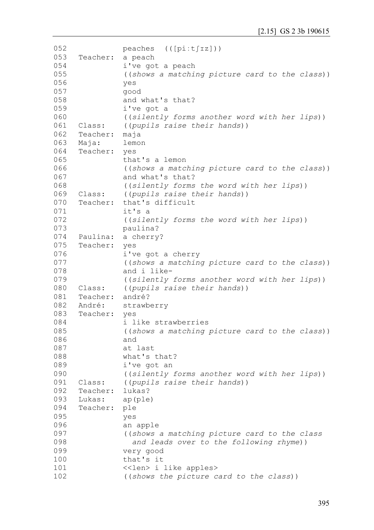```
052
053
054
055
056
057
058
059
060
061
062
063
064
065
066
067
068
069
070
071
072
073
074
075
076
077
078
079
080
081
082
083
084
085
086
087
088
089
090
091
092
093
094
095
096
097
098
099
100
101
102
               peaches (([piːtʃɪz]))
     Teacher: a peach
               i've got a peach
               ((shows a matching picture card to the class))
               yes 
               good
               and what's that?
               i've got a
                ((silently forms another word with her lips))
     Class: ((pupils raise their hands))
     Teacher: maja
     Maja: lemon
     Teacher: yes
               that's a lemon
                ((shows a matching picture card to the class))
               and what's that?
                ((silently forms the word with her lips))
     Class: ((pupils raise their hands))
     Teacher: that's difficult
               it's a
                ((silently forms the word with her lips))
               paulina?
     Paulina: a cherry?
     Teacher: yes
               i've got a cherry
                ((shows a matching picture card to the class))
               and i like-
                ((silently forms another word with her lips))
     Class: ((pupils raise their hands))
     Teacher: andré?
     André: strawberry
     Teacher: yes
               i like strawberries
               ((shows a matching picture card to the class))
               and
               at last 
               what's that?
               i've got an
                ((silently forms another word with her lips))
     Class: ((pupils raise their hands))
     Teacher: lukas?
     Lukas: ap(ple)
     Teacher: ple
               yes 
               an apple
                ((shows a matching picture card to the class 
                   and leads over to the following rhyme))
               very good
               that's it 
               <<len> i like apples>
                ((shows the picture card to the class))
```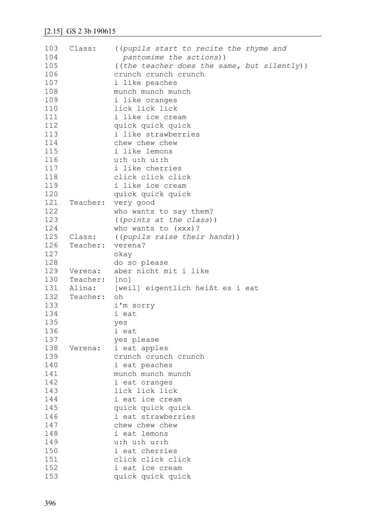| 103 | Class:   | ((pupils start to recite the rhyme and      |
|-----|----------|---------------------------------------------|
| 104 |          | pantomime the actions))                     |
| 105 |          | ((the teacher does the same, but silently)) |
| 106 |          | crunch crunch crunch                        |
| 107 |          | i like peaches                              |
| 108 |          | munch munch munch                           |
| 109 |          | i like oranges                              |
| 110 |          | lick lick lick                              |
| 111 |          | i like ice cream                            |
| 112 |          | quick quick quick                           |
| 113 |          | i like strawberries                         |
| 114 |          | chew chew chew                              |
| 115 |          | i like lemons                               |
| 116 |          | u: h u: h u: : h                            |
| 117 |          | i like cherries                             |
| 118 |          | click click click                           |
| 119 |          | i like ice cream                            |
| 120 |          | quick quick quick                           |
| 121 | Teacher: |                                             |
| 122 |          | very good                                   |
| 123 |          | who wants to say them?                      |
| 124 |          | ((points at the class))                     |
|     |          | who wants to (xxx)?                         |
| 125 | Class:   | ((pupils raise their hands))                |
| 126 | Teacher: | verena?                                     |
| 127 |          | okay                                        |
| 128 |          | do so please                                |
| 129 | Verena:  | aber nicht mit i like                       |
| 130 | Teacher: | [no]                                        |
| 131 | Alina:   | [weil] eigentlich heißt es i eat            |
| 132 | Teacher: | oh                                          |
| 133 |          | i'm sorry                                   |
| 134 |          | i eat                                       |
| 135 |          | yes                                         |
| 136 |          | i eat                                       |
| 137 |          | yes please                                  |
| 138 | Verena:  | i eat apples                                |
| 139 |          | crunch crunch crunch                        |
| 140 |          | i eat peaches                               |
| 141 |          | munch munch munch                           |
| 142 |          | i eat oranges                               |
| 143 |          | lick lick lick                              |
| 144 |          | i eat ice cream                             |
| 145 |          | quick quick quick                           |
| 146 |          | i eat strawberries                          |
| 147 |          | chew chew chew                              |
| 148 |          | i eat lemons                                |
| 149 |          | u: h u: h u: : h                            |
| 150 |          | i eat cherries                              |
| 151 |          | click click click                           |
| 152 |          | i eat ice cream                             |
| 153 |          | quick quick quick                           |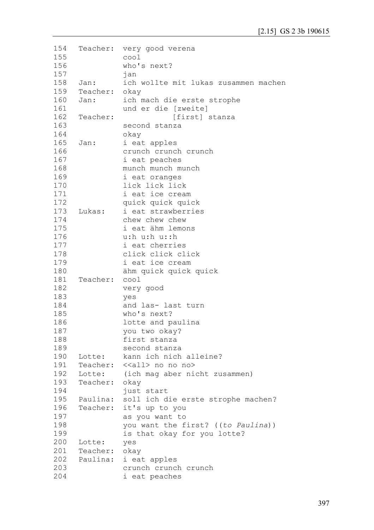```
154
155
156
157
158
159
160
161
162
163
164
165
166
167
168
169
170
171
172
173
174
175
176
177
178
179
180
181
182
183
184
185
186
187
188
189
190
191
192
193
194
195
196
197
198
199
200
201
202
203
204
     Teacher: very good verena
               cool
               who's next?
               jan
     Jan: ich wollte mit lukas zusammen machen
     Teacher: okay
     Jan: ich mach die erste strophe 
               und er die [zweite]
     Teacher: [first] stanza
               second stanza 
               okay
     Jan: i eat apples
               crunch crunch crunch
               i eat peaches
               munch munch munch
               i eat oranges
               lick lick lick
               i eat ice cream
               quick quick quick
     Lukas: i eat strawberries
               chew chew chew
               i eat ähm lemons
               u:h u:h u::h
               i eat cherries
               click click click
               i eat ice cream
               ähm quick quick quick
     Teacher: cool 
               very good
               yes
               and las- last turn
               who's next?
               lotte and paulina
               you two okay?
               first stanza 
               second stanza
     Lotte: kann ich nich alleine?
     Teacher: <<all> no no no>
     Lotte: (ich mag aber nicht zusammen)
     Teacher: okay 
               just start 
     Paulina: soll ich die erste strophe machen? 
     Teacher: it's up to you
               as you want to 
               you want the first? ((to Paulina))
               is that okay for you lotte?
     Lotte: yes
     Teacher: okay
     Paulina: i eat apples
               crunch crunch crunch
               i eat peaches
```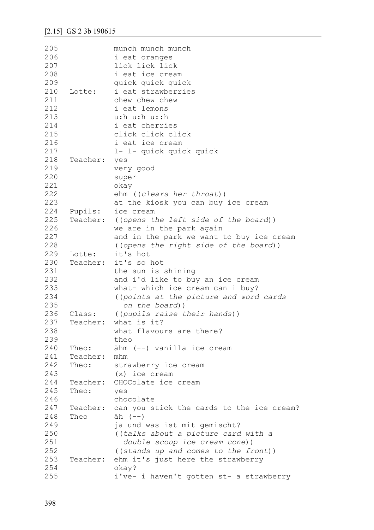| 205 |          | munch munch munch                         |
|-----|----------|-------------------------------------------|
| 206 |          | i eat oranges                             |
| 207 |          | lick lick lick                            |
| 208 |          | i eat ice cream                           |
| 209 |          | quick quick quick                         |
| 210 | Lotte:   | i eat strawberries                        |
| 211 |          | chew chew chew                            |
| 212 |          | i eat lemons                              |
| 213 |          | u: h u: h u: : h                          |
| 214 |          | i eat cherries                            |
| 215 |          | click click click                         |
| 216 |          | i eat ice cream                           |
| 217 |          | 1- 1- quick quick quick                   |
| 218 |          |                                           |
|     | Teacher: | yes                                       |
| 219 |          | very good                                 |
| 220 |          | super                                     |
| 221 |          | okay                                      |
| 222 |          | ehm ((clears her throat))                 |
| 223 |          | at the kiosk you can buy ice cream        |
| 224 | Pupils:  | ice cream                                 |
| 225 | Teacher: | ((opens the left side of the board))      |
| 226 |          | we are in the park again                  |
| 227 |          | and in the park we want to buy ice cream  |
| 228 |          | ((opens the right side of the board))     |
| 229 | Lotte:   | it's hot                                  |
| 230 |          | Teacher: it's so hot                      |
| 231 |          | the sun is shining                        |
| 232 |          | and i'd like to buy an ice cream          |
| 233 |          | what- which ice cream can i buy?          |
| 234 |          | ((points at the picture and word cards    |
| 235 |          | on the board))                            |
| 236 | Class:   | ((pupils raise their hands))              |
| 237 | Teacher: | what is it?                               |
| 238 |          | what flavours are there?                  |
| 239 |          | theo                                      |
| 240 | Theo:    | ähm (--) vanilla ice cream                |
| 241 | Teacher: | mhm                                       |
| 242 | Theo:    | strawberry ice cream                      |
| 243 |          | $(x)$ ice cream                           |
| 244 | Teacher: | CHOColate ice cream                       |
| 245 | Theo:    | yes                                       |
| 246 |          | chocolate                                 |
| 247 | Teacher: | can you stick the cards to the ice cream? |
| 248 | Theo     | $\ddot{a}h$ $(--)$                        |
| 249 |          | ja und was ist mit gemischt?              |
| 250 |          |                                           |
| 251 |          | ((talks about a picture card with a       |
| 252 |          | double scoop ice cream cone))             |
|     |          | ((stands up and comes to the front))      |
| 253 | Teacher: | ehm it's just here the strawberry         |
| 254 |          | okay?                                     |
| 255 |          | i've- i haven't gotten st- a strawberry   |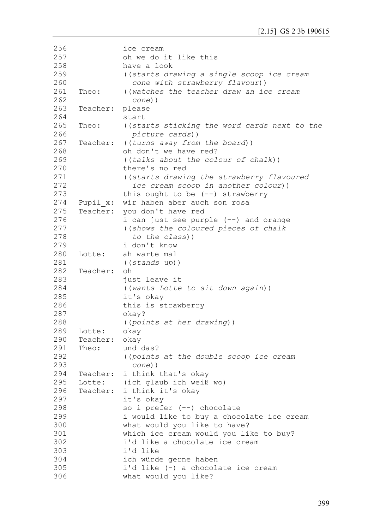```
256
257
258
259
260
261
262
263
264
265
266
267
268
269
270
271
272
273
274
275
276
277
278
279
280
281
282
283
284
285
286
287
288
289
290
291
292
293
294
295
296
297
298
299
300
301
302
303
304
305
306
                ice cream
                oh we do it like this 
               have a look
                ((starts drawing a single scoop ice cream 
                   cone with strawberry flavour))
     Theo: ((watches the teacher draw an ice cream 
                   cone))
     Teacher: please
                start
     Theo: ((starts sticking the word cards next to the 
                   picture cards))
     Teacher: ((turns away from the board))
                oh don't we have red? 
                ((talks about the colour of chalk))
                there's no red
                ((starts drawing the strawberry flavoured 
                   ice cream scoop in another colour))
                this ought to be (--) strawberry
     Pupil x: wir haben aber auch son rosa
     Teacher: you don't have red
               i can just see purple (--) and orange
                ((shows the coloured pieces of chalk 
                   to the class))
                i don't know
     Lotte: ah warte mal 
                ((stands up))
     Teacher: oh 
                just leave it 
                ((wants Lotte to sit down again))
                it's okay
               this is strawberry
                okay? 
                ((points at her drawing))
     Lotte: okay
     Teacher: okay
     Theo: und das? 
                ((points at the double scoop ice cream 
                   cone))
     Teacher: i think that's okay
     Lotte: (ich glaub ich weiß wo)
     Teacher: i think it's okay
                it's okay
                so i prefer (--) chocolate 
                i would like to buy a chocolate ice cream
               what would you like to have?
               which ice cream would you like to buy?
               i'd like a chocolate ice cream
               i'd like
               ich würde gerne haben
               i'd like (-) a chocolate ice cream
               what would you like?
```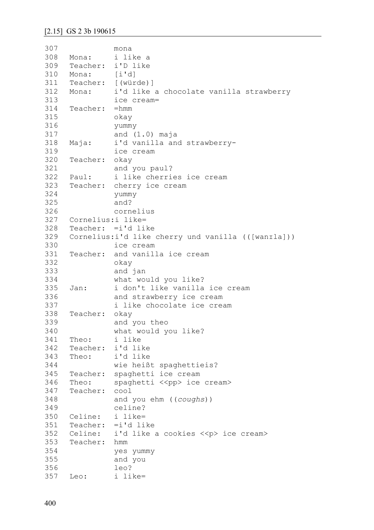```
307
308
309
310
311
312
313
314
315
316
317
318
319
320
321
322
323
324
325
326
327
328
329
330
331
332
333
334
335
336
337
338
339
340
341
342
343
344
345
346
347
348
349
350
351
352
353
354
355
356
357
               mona
     Mona: i like a
     Teacher: i'D like
     Mona: [i'd]
     Teacher: [(würde)]
     Mona: i'd like a chocolate vanilla strawberry
               ice cream= 
     Teacher: =hmm 
               okay
               yummy
               and (1.0) maja
     Maja: i'd vanilla and strawberry-
               ice cream 
     Teacher: okay 
               and you paul?
     Paul: i like cherries ice cream 
     Teacher: cherry ice cream
               yummy
               and?
               cornelius
     Cornelius:i like=
     Teacher: =i'd like
     Cornelius:i'd like cherry und vanilla (([wanrla]))
               ice cream 
     Teacher: and vanilla ice cream
               okay 
               and jan 
               what would you like? 
     Jan: i don't like vanilla ice cream 
               and strawberry ice cream 
               i like chocolate ice cream
     Teacher: okay
               and you theo
               what would you like?
     Theo: i like
     Teacher: i'd like
     Theo: i'd like
              wie heißt spaghettieis? 
     Teacher: spaghetti ice cream
     Theo: spaghetti <<pp> ice cream>
     Teacher: cool 
               and you ehm ((coughs))
               celine?
     Celine: i like=
     Teacher: =i'd like 
     Celine: i'd like a cookies <<p> ice cream>
     Teacher: hmm 
               yes yummy 
               and you
               leo?
     Leo: i like=
```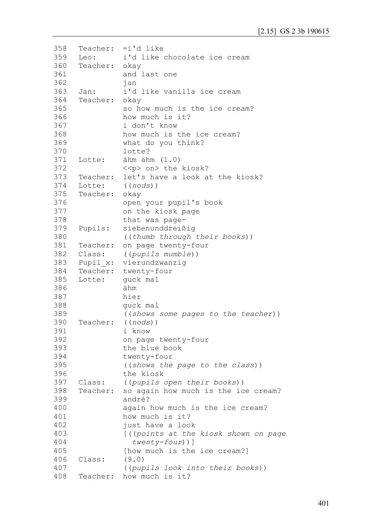```
358
359
360
361
362
363
364
365
366
367
368
369
370
371
372
373
374
375
376
377
378
379
380
381
382
383
384
385
386
387
388
389
390
391
392
393
394
395
396
397
398
399
400
401
402
403
404
405
406
407
408
     Teacher: =i'd like 
     Leo: i'd like chocolate ice cream
     Teacher: okay
               and last one
               jan
     Jan: i'd like vanilla ice cream
     Teacher: okay 
               so how much is the ice cream?
               how much is it?
               i don't know
               how much is the ice cream?
               what do you think?
               lotte?
     Lotte: ähm ähm (1.0) 
               <<p> on> the kiosk?
     Teacher: let's have a look at the kiosk?
     Lotte: ((nods))
     Teacher: okay 
               open your pupil's book 
               on the kiosk page 
               that was page-
     Pupils: siebenunddreißig
               ((thumb through their books))
     Teacher: on page twenty-four 
     Class: ((pupils mumble))
     Pupil x: vierundzwanzig
     Teacher: twenty-four
     Lotte: guck mal
               ähm
               hier
               guck mal
                ((shows some pages to the teacher))
     Teacher: ((nods))
               i know
               on page twenty-four
               the blue book
               twenty-four 
               ((shows the page to the class))
               the kiosk
     Class: ((pupils open their books))
     Teacher: so again how much is the ice cream?
               andré?
               again how much is the ice cream?
               how much is it?
               just have a look
                [((points at the kiosk shown on page 
                   twenty-four))]
               [how much is the ice cream?]
     Class: (9.0) 
                ((pupils look into their books))
     Teacher: how much is it?
```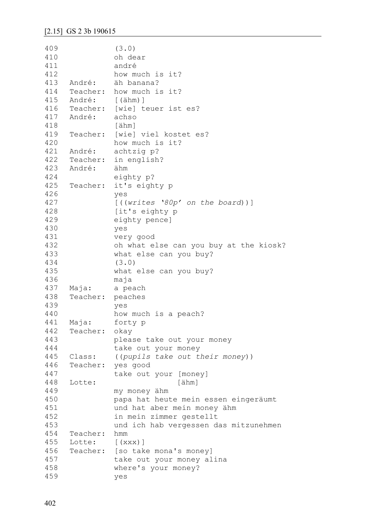```
409
410
411
412
413
414
415
416
417
418
419
420
421
422
423
424
425
426
427
428
429
430
431
432
433
434
435
436
437
438
439
440
441
442
443
444
445
446
447
448
449
450
451
452
453
454
455
456
457
458
459
               (3.0)
               oh dear
               andré
               how much is it?
     André: äh banana? 
     Teacher: how much is it?
     André: [(ähm)]
     Teacher: [wie] teuer ist es?
     André: achso 
               [ähm]
     Teacher: [wie] viel kostet es?
               how much is it?
     André: achtzig p?
     Teacher: in english?
     André: ähm
               eighty p?
     Teacher: it's eighty p 
               yes
               [((writes '80p' on the board))]
               [it's eighty p
               eighty pence] 
               yes
               very good
               oh what else can you buy at the kiosk?
               what else can you buy?
               (3.0)
               what else can you buy?
               maja
    Maja: a peach
     Teacher: peaches 
               yes
               how much is a peach?
     Maja: forty p
     Teacher: okay
               please take out your money
               take out your money
     Class: ((pupils take out their money))
     Teacher: yes good
               take out your [money]
     Lotte: [ähm]
               my money ähm
               papa hat heute mein essen eingeräumt
               und hat aber mein money ähm 
               in mein zimmer gestellt
               und ich hab vergessen das mitzunehmen
     Teacher: hmm
     Lotte: [(xxx)]
     Teacher: [so take mona's money]
               take out your money alina 
               where's your money?
               yes
```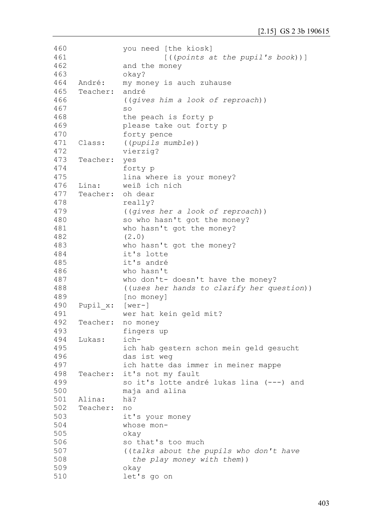```
460
461
462
463
464
465
466
467
468
469
470
471
472
473
474
475
476
477
478
479
480
481
482
483
484
485
486
487
488
489
490
491
492
493
494
495
496
497
498
499
500
501
502
503
504
505
506
507
508
509
510
                you need [the kiosk]
                          [((points at the pupil's book))]
                and the money
                okay?
     André: my money is auch zuhause 
     Teacher: andré
                ((gives him a look of reproach))
                so 
                the peach is forty p
                please take out forty p
                forty pence
     Class: ((pupils mumble))
                vierzig?
     Teacher: yes 
                forty p
                lina where is your money?
     Lina: weiß ich nich
     Teacher: oh dear
                really?
                ((gives her a look of reproach))
                so who hasn't got the money?
                who hasn't got the money?
                (2.0)
                who hasn't got the money?
                it's lotte
                it's andré
               who hasn't 
                who don't- doesn't have the money?
                ((uses her hands to clarify her question))
                [no money]
     Pupil_x: [wer-]
                wer hat kein geld mit?
     Teacher: no money
                fingers up 
     Lukas: ich-
                ich hab gestern schon mein geld gesucht 
                das ist weg
                ich hatte das immer in meiner mappe
     Teacher: it's not my fault
                so it's lotte andré lukas lina (---) and 
                maja and alina
     Alina: hä?
     Teacher: no 
                it's your money
                whose mon-
                okay 
                so that's too much 
                ((talks about the pupils who don't have 
                   the play money with them))
                okay 
                let's go on
```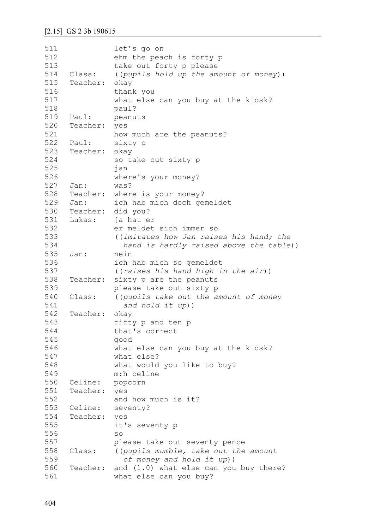```
511
512
513
514
515
516
517
518
519
520
521
522
523
524
525
526
527
528
529
530
531
532
533
534
535
536
537
538
539
540
541
542
543
544
545
546
547
548
549
550
551
552
553
554
555
556
557
558
559
560
561
               let's go on 
               ehm the peach is forty p
               take out forty p please
     Class: ((pupils hold up the amount of money))
     Teacher: okay 
               thank you
               what else can you buy at the kiosk? 
               paul?
     Paul: peanuts 
     Teacher: yes
               how much are the peanuts?
     Paul: sixty p 
     Teacher: okay
               so take out sixty p 
               jan
               where's your money?
     Jan: was?
     Teacher: where is your money?
     Jan: ich hab mich doch gemeldet
     Teacher: did you?
     Lukas: ja hat er
               er meldet sich immer so
               ((imitates how Jan raises his hand; the
                  hand is hardly raised above the table))
     Jan: nein
               ich hab mich so gemeldet
               ((raises his hand high in the air))
     Teacher: sixty p are the peanuts
               please take out sixty p
     Class: ((pupils take out the amount of money 
                  and hold it up))
     Teacher: okay
               fifty p and ten p 
               that's correct
               good
               what else can you buy at the kiosk?
               what else?
               what would you like to buy?
               m:h celine
     Celine: popcorn
     Teacher: yes
               and how much is it?
     Celine: seventy?
     Teacher: yes
               it's seventy p
               so
               please take out seventy pence
     Class: ((pupils mumble, take out the amount 
                  of money and hold it up))
     Teacher: and (1.0) what else can you buy there?
               what else can you buy?
```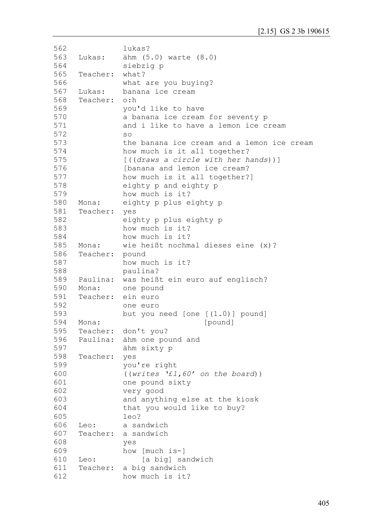```
562
563
564
565
566
567
568
569
570
571
572
573
574
575
576
577
578
579
580
581
582
583
584
585
586
587
588
589
590
591
592
593
594
595
596
597
598
599
600
601
602
603
604
605
606
607
608
609
610
611
612
               lukas?
     Lukas: ähm (5.0) warte (8.0)
               siebzig p
     Teacher: what?
               what are you buying?
     Lukas: banana ice cream 
     Teacher: o:h
               you'd like to have 
               a banana ice cream for seventy p 
               and i like to have a lemon ice cream 
               so
               the banana ice cream and a lemon ice cream 
               how much is it all together?
               [((draws a circle with her hands))]
               [banana and lemon ice cream? 
               how much is it all together?]
               eighty p and eighty p
               how much is it?
     Mona: eighty p plus eighty p
     Teacher: yes 
               eighty p plus eighty p 
               how much is it?
               how much is it?
     Mona: wie heißt nochmal dieses eine (x)?
     Teacher: pound
               how much is it?
               paulina?
     Paulina: was heißt ein euro auf englisch?
    Mona: one pound
     Teacher: ein euro 
               one euro 
               but you need [one [(1.0)] pound]
     Mona: [pound]
     Teacher: don't you?
     Paulina: ähm one pound and
               ähm sixty p
     Teacher: yes
               you're right
               ((writes '£1,60' on the board))
               one pound sixty
               very good
               and anything else at the kiosk 
               that you would like to buy? 
               leo?
     Leo: a sandwich
     Teacher: a sandwich 
               yes
               how [much is-]
     Leo: [a big] sandwich
     Teacher: a big sandwich
               how much is it?
```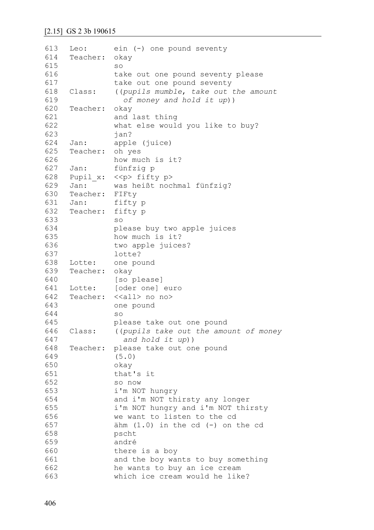```
613
614
615
616
617
618
619
620
621
622
623
624
625
626
627
628
629
630
631
632
633
634
635
636
637
638
639
640
641
642
643
644
645
646
647
648
649
650
651
652
653
654
655
656
657
658
659
660
661
662
663
     Leo: ein (-) one pound seventy
     Teacher: okay
               so 
               take out one pound seventy please
               take out one pound seventy
     Class: ((pupils mumble, take out the amount 
                  of money and hold it up))
     Teacher: okay
               and last thing
               what else would you like to buy? 
               jan?
     Jan: apple (juice)
     Teacher: oh yes 
               how much is it?
     Jan: fünfzig p
    Pupil x: <<p> fifty p>
     Jan: was heißt nochmal fünfzig?
     Teacher: FIFty
     Jan: fifty p
     Teacher: fifty p 
               so
               please buy two apple juices
               how much is it?
               two apple juices?
               lotte?
     Lotte: one pound
     Teacher: okay 
               [so please]
     Lotte: [oder one] euro
     Teacher: <<all> no no>
               one pound
               so
               please take out one pound 
     Class: ((pupils take out the amount of money 
                  and hold it up))
     Teacher: please take out one pound
               (5.0) 
               okay
               that's it
               so now
               i'm NOT hungry 
               and i'm NOT thirsty any longer
               i'm NOT hungry and i'm NOT thirsty 
               we want to listen to the cd
               ähm (1.0) in the cd (-) on the cd
               pscht 
               andré
               there is a boy
               and the boy wants to buy something
               he wants to buy an ice cream 
               which ice cream would he like?
```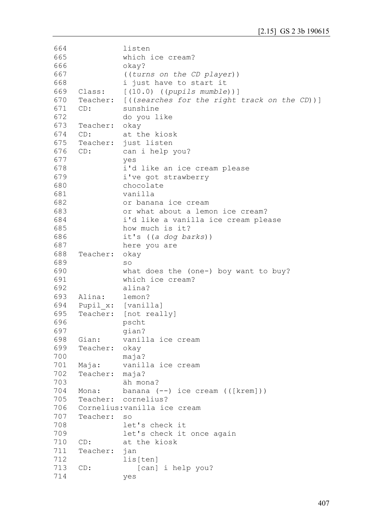```
664
665
666
667
668
669
670
671
672
673
674
675
676
677
678
679
680
681
682
683
684
685
686
687
688
689
690
691
692
693
694
695
696
697
698
699
700
701
702
703
704
705
706
707
708
709
710
711
712
713
714
               listen
               which ice cream?
               okay?
               ((turns on the CD player))
               i just have to start it
     Class: [(10.0) ((pupils mumble))]
     Teacher: [((searches for the right track on the CD))]
     CD: sunshine
               do you like 
     Teacher: okay
     CD: at the kiosk 
     Teacher: just listen
     CD: can i help you?
               yes
               i'd like an ice cream please 
               i've got strawberry
               chocolate
               vanilla 
               or banana ice cream
               or what about a lemon ice cream?
               i'd like a vanilla ice cream please 
               how much is it?
               it's ((a dog barks)) 
               here you are
     Teacher: okay
               so
               what does the (one-) boy want to buy?
               which ice cream?
               alina?
     Alina: lemon?
     Pupil x: [vanilla]
     Teacher: [not really]
               pscht 
               gian?
     Gian: vanilla ice cream 
     Teacher: okay
               maja?
     Maja: vanilla ice cream
     Teacher: maja?
               äh mona?
     Mona: banana (--) ice cream (([krem]))
     Teacher: cornelius?
     Cornelius:vanilla ice cream 
     Teacher: so
               let's check it 
               let's check it once again 
     CD: at the kiosk
     Teacher: jan
               lis[ten]
     CD: [can] i help you?
               yes
```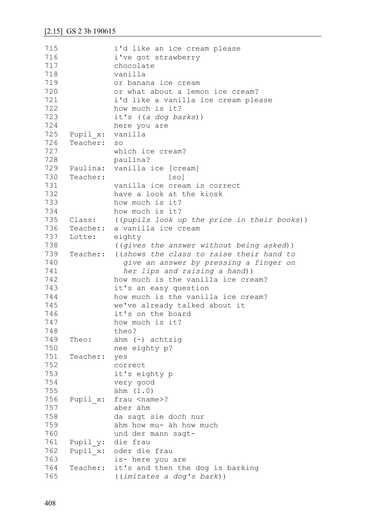| 715 |          | i'd like an ice cream please                |
|-----|----------|---------------------------------------------|
| 716 |          | i've got strawberry                         |
| 717 |          | chocolate                                   |
| 718 |          | vanilla                                     |
| 719 |          | or banana ice cream                         |
| 720 |          | or what about a lemon ice cream?            |
| 721 |          | i'd like a vanilla ice cream please         |
| 722 |          | how much is it?                             |
| 723 |          | it's $((a dog barks))$                      |
| 724 |          | here you are                                |
| 725 | Pupil x: | vanilla                                     |
| 726 | Teacher: | SO                                          |
| 727 |          | which ice cream?                            |
| 728 |          | paulina?                                    |
| 729 |          | Paulina: vanilla ice [cream]                |
|     |          |                                             |
| 730 | Teacher: | $\lceil$ so $\rceil$                        |
| 731 |          | vanilla ice cream is correct                |
| 732 |          | have a look at the kiosk                    |
| 733 |          | how much is it?                             |
| 734 |          | how much is it?                             |
| 735 | Class:   | ((pupils look up the price in their books)) |
| 736 | Teacher: | a vanilla ice cream                         |
| 737 | Lotte:   | eighty                                      |
| 738 |          | ((gives the answer without being asked))    |
| 739 | Teacher: | ((shows the class to raise their hand to    |
| 740 |          | give an answer by pressing a finger on      |
| 741 |          | her lips and raising a hand))               |
| 742 |          | how much is the vanilla ice cream?          |
| 743 |          | it's an easy question                       |
| 744 |          | how much is the vanilla ice cream?          |
| 745 |          | we've already talked about it               |
| 746 |          | it's on the board                           |
| 747 |          | how much is it?                             |
| 748 |          | theo?                                       |
| 749 | Theo:    | ähm (-) achtzig                             |
| 750 |          | nee eighty p?                               |
| 751 | Teacher: | yes                                         |
| 752 |          | correct                                     |
| 753 |          | it's eighty p                               |
| 754 |          | very good                                   |
| 755 |          | ähm (1.0)                                   |
| 756 | Pupil x: | frau <name>?</name>                         |
| 757 |          | aber ähm                                    |
| 758 |          | da sagt sie doch nur                        |
| 759 |          | ähm how mu- äh how much                     |
| 760 |          | und der mann sagt-                          |
| 761 | Pupil y: | die frau                                    |
| 762 | Pupil x: | oder die frau                               |
| 763 |          | is- here you are                            |
| 764 | Teacher: | it's and then the dog is barking            |
| 765 |          | ((imitates a dog's bark))                   |
|     |          |                                             |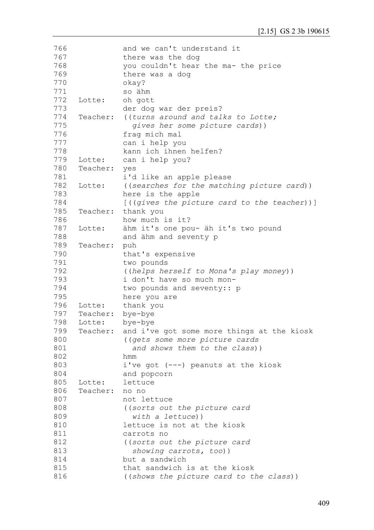| 766 |          | and we can't understand it                     |
|-----|----------|------------------------------------------------|
| 767 |          | there was the dog                              |
| 768 |          | you couldn't hear the ma- the price            |
| 769 |          | there was a dog                                |
| 770 |          | okay?                                          |
| 771 |          | so ähm                                         |
| 772 | Lotte:   | oh gott                                        |
| 773 |          | der dog war der preis?                         |
| 774 | Teacher: | ((turns around and talks to Lotte;             |
| 775 |          | gives her some picture cards))                 |
| 776 |          | frag mich mal                                  |
| 777 |          | can i help you                                 |
| 778 |          | kann ich ihnen helfen?                         |
| 779 | Lotte:   | can i help you?                                |
| 780 | Teacher: | yes                                            |
| 781 |          | i'd like an apple please                       |
| 782 | Lotte:   | ((searches for the matching picture card))     |
| 783 |          | here is the apple                              |
| 784 |          | $[$ ((gives the picture card to the teacher))] |
| 785 | Teacher: | thank you                                      |
| 786 |          | how much is it?                                |
| 787 |          |                                                |
| 788 | Lotte:   | ähm it's one pou- äh it's two pound            |
|     |          | and ähm and seventy p                          |
| 789 | Teacher: | puh                                            |
| 790 |          | that's expensive                               |
| 791 |          | two pounds                                     |
| 792 |          | ((helps herself to Mona's play money))         |
| 793 |          | i don't have so much mon-                      |
| 794 |          | two pounds and seventy:: p                     |
| 795 |          | here you are                                   |
| 796 | Lotte:   | thank you                                      |
| 797 | Teacher: | bye-bye                                        |
| 798 | Lotte:   | bye-bye                                        |
| 799 | Teacher: | and i've got some more things at the kiosk     |
| 800 |          | ((gets some more picture cards                 |
| 801 |          | and shows them to the class))                  |
| 802 |          | hmm                                            |
| 803 |          | i've got (---) peanuts at the kiosk            |
| 804 |          | and popcorn                                    |
| 805 | Lotte:   | lettuce                                        |
| 806 | Teacher: | no no                                          |
| 807 |          | not lettuce                                    |
| 808 |          | ((sorts out the picture card                   |
| 809 |          | with a lettuce))                               |
| 810 |          | lettuce is not at the kiosk                    |
| 811 |          | carrots no                                     |
| 812 |          | ((sorts out the picture card                   |
| 813 |          | showing carrots, too))                         |
| 814 |          | but a sandwich                                 |
| 815 |          | that sandwich is at the kiosk                  |
| 816 |          | ((shows the picture card to the class))        |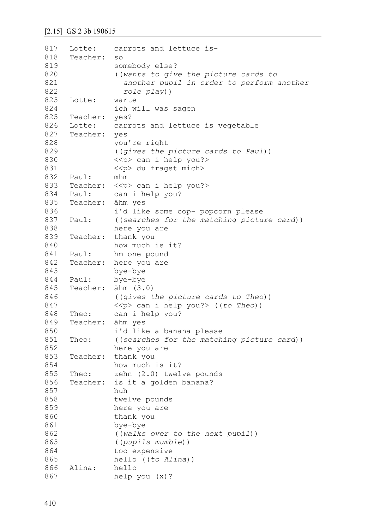```
817
818
819
820
821
822
823
824
825
826
827
828
829
830
831
832
833
834
835
836
837
838
839
840
841
842
843
844
845
846
847
848
849
850
851
852
853
854
855
856
857
858
859
860
861
862
863
864
865
866
867
     Lotte: carrots and lettuce is-
     Teacher: so
               somebody else?
               ((wants to give the picture cards to 
                  another pupil in order to perform another 
                  role play))
     Lotte: warte 
               ich will was sagen
     Teacher: yes?
     Lotte: carrots and lettuce is vegetable 
     Teacher: yes 
               you're right 
               ((gives the picture cards to Paul))
               <<p> can i help you?> 
               <<p> du fragst mich>
     Paul: mhm
     Teacher: << p> can i help you?>
     Paul: can i help you?
     Teacher: ähm yes
               i'd like some cop- popcorn please
     Paul: ((searches for the matching picture card))
               here you are
     Teacher: thank you
               how much is it?
     Paul: hm one pound
     Teacher: here you are
               bye-bye
     Paul: bye-bye 
     Teacher: ähm (3.0)
               ((gives the picture cards to Theo))
               <<p> can i help you?> ((to Theo))
     Theo: can i help you?
     Teacher: ähm yes 
               i'd like a banana please 
     Theo: ((searches for the matching picture card))
               here you are
     Teacher: thank you
               how much is it?
     Theo: zehn (2.0) twelve pounds
     Teacher: is it a golden banana?
               huh 
               twelve pounds
               here you are
               thank you
               bye-bye
               ((walks over to the next pupil))
               ((pupils mumble))
               too expensive
               hello ((to Alina))
     Alina: hello
               help you (x)?
```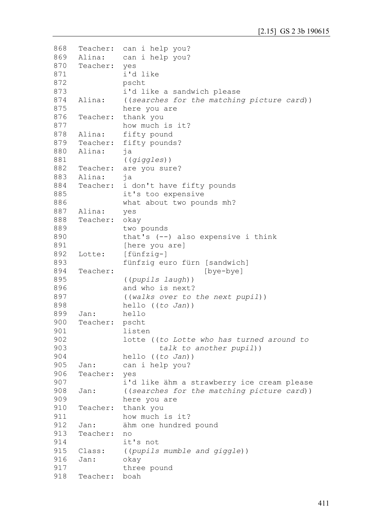```
868
869
870
871
872
873
874
875
876
877
878
879
880
881
882
883
884
885
886
887
888
889
890
891
892
893
894
895
896
897
898
899
900
901
902
903
904
905
906
907
908
909
910
911
912
913
914
915
916
917
918
     Teacher: can i help you?
     Alina: can i help you?
     Teacher: yes 
               i'd like 
               pscht
               i'd like a sandwich please
     Alina: ((searches for the matching picture card))
               here you are
     Teacher: thank you
               how much is it?
     Alina: fifty pound
     Teacher: fifty pounds?
     Alina: ja 
               ((giggles))
     Teacher: are you sure?
     Alina: ja
     Teacher: i don't have fifty pounds 
               it's too expensive
               what about two pounds mh?
     Alina: yes
     Teacher: okay
               two pounds
               that's (--) also expensive i think
               [here you are] 
     Lotte: [fünfzig-]
               fünfzig euro fürn [sandwich]
     Teacher: [bye-bye]
               ((pupils laugh))
               and who is next? 
               ((walks over to the next pupil))
               hello ((to Jan))
     Jan: hello
     Teacher: pscht
               listen 
               lotte ((to Lotte who has turned around to
                        talk to another pupil))
               hello ((to Jan))
     Jan: can i help you?
     Teacher: yes
               i'd like ähm a strawberry ice cream please
     Jan: ((searches for the matching picture card))
               here you are
     Teacher: thank you
               how much is it?
     Jan: ähm one hundred pound 
     Teacher: no 
               it's not 
     Class: ((pupils mumble and giggle))
     Jan: okay
               three pound
     Teacher: boah
```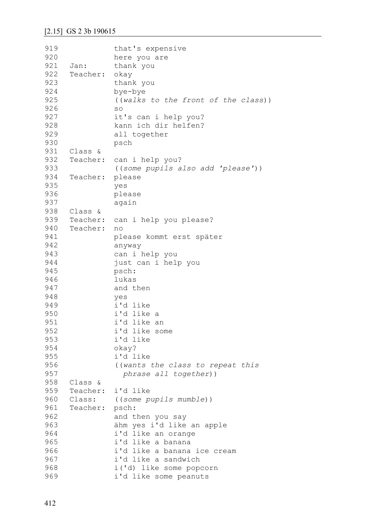```
919
920
921
922
923
924
925
926
927
928
929
930
931
932
933
934
935
936
937
938
939
940
941
942
943
944
945
946
947
948
949
950
951
952
953
954
955
956
957
958
959
960
961
962
963
964
965
966
967
968
969
                that's expensive 
                here you are
     Jan: thank you 
     Teacher: okay 
                thank you
                bye-bye 
                ((walks to the front of the class))
                so 
                it's can i help you?
                kann ich dir helfen?
                all together
                psch
     Class &
     Teacher: can i help you?
                ((some pupils also add 'please'))
     Teacher: please
                yes
                please 
                again
     Class &
     Teacher: can i help you please?
     Teacher: no 
                please kommt erst später
                anyway 
                can i help you
                just can i help you
                psch:
                lukas 
                and then
                yes
                i'd like 
                i'd like a
                i'd like an
                i'd like some
                i'd like
                okay?
                i'd like
                ((wants the class to repeat this
                   phrase all together))
     Class &
     Teacher: i'd like 
     Class: ((some pupils mumble))
     Teacher: psch:
                and then you say 
                ähm yes i'd like an apple 
                i'd like an orange
                i'd like a banana 
                i'd like a banana ice cream
                i'd like a sandwich
                i('d) like some popcorn
                i'd like some peanuts
```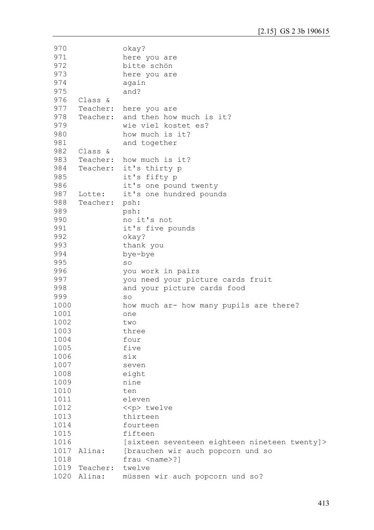```
970
971
972
973
974
975
976
977
978
979
980
981
982
983
984
985
986
987
988
989
990
991
992
993
994
995
996
997
998
999
1000
1001
1002
1003
1004
1005
1006
1007
1008
1009
1010
1011
1012
1013
1014
1015
1016
1017 Alina:
1018
1019
Teacher: twelve
1020 Alina:
                okay?
                here you are
                bitte schön
                here you are
                again 
                and?
     Class &
     Teacher: here you are 
     Teacher: and then how much is it?
                wie viel kostet es?
                how much is it?
                and together
     Class &
     Teacher: how much is it?
     Teacher: it's thirty p
                it's fifty p
                it's one pound twenty 
     Lotte: it's one hundred pounds
     Teacher: psh: 
                psh:
                no it's not
                it's five pounds
                okay?
                thank you
                bye-bye
                so 
                you work in pairs 
                you need your picture cards fruit
                and your picture cards food
                so 
                how much ar- how many pupils are there?
                one
                two
                three
                four
                five
                six
                seven
                eight
                nine
                ten
                eleven 
                <<p> twelve 
                thirteen
                fourteen
                fifteen
                [sixteen seventeen eighteen nineteen twenty]> 
                [brauchen wir auch popcorn und so
                frau <name>?l
                müssen wir auch popcorn und so?
```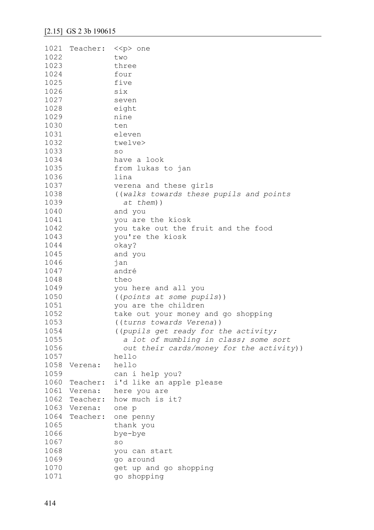| two<br>three<br>four<br>five<br>1026<br>six<br>1027<br>seven<br>1028<br>eight<br>1029<br>nine<br>1030<br>ten<br>1031<br>eleven<br>1032<br>twelve><br>1033<br>SO<br>1034<br>have a look<br>1035<br>from lukas to jan<br>1036<br>lina<br>1037<br>verena and these girls<br>1038<br>((walks towards these pupils and points<br>1039<br>at them))<br>1040<br>and you<br>1041<br>you are the kiosk<br>you take out the fruit and the food<br>1042<br>1043<br>you're the kiosk<br>1044<br>okay?<br>1045<br>and you<br>1046<br>jan<br>1047<br>andré<br>1048<br>theo<br>1049<br>you here and all you<br>1050<br>((points at some pupils))<br>1051<br>you are the children<br>1052<br>take out your money and go shopping<br>1053<br>((turns towards Verena))<br>1054<br>((pupils get ready for the activity;<br>1055<br>a lot of mumbling in class; some sort<br>out their cards/money for the activity))<br>1056<br>1057<br>hello<br>1058<br>hello<br>Verena:<br>1059<br>can i help you?<br>i'd like an apple please<br>1060<br>Teacher:<br>1061<br>here you are<br>Verena:<br>1062<br>how much is it?<br>Teacher:<br>1063<br>Verena:<br>one p<br>1064<br>Teacher:<br>one penny<br>1065<br>thank you<br>1066<br>bye-bye<br>1067<br>SO<br>1068<br>you can start<br>1069<br>go around<br>1070<br>get up and go shopping | 1021 | Teacher: < <p> one</p> |             |
|----------------------------------------------------------------------------------------------------------------------------------------------------------------------------------------------------------------------------------------------------------------------------------------------------------------------------------------------------------------------------------------------------------------------------------------------------------------------------------------------------------------------------------------------------------------------------------------------------------------------------------------------------------------------------------------------------------------------------------------------------------------------------------------------------------------------------------------------------------------------------------------------------------------------------------------------------------------------------------------------------------------------------------------------------------------------------------------------------------------------------------------------------------------------------------------------------------------------------------------------------------------------------------------------------------------|------|------------------------|-------------|
|                                                                                                                                                                                                                                                                                                                                                                                                                                                                                                                                                                                                                                                                                                                                                                                                                                                                                                                                                                                                                                                                                                                                                                                                                                                                                                                | 1022 |                        |             |
|                                                                                                                                                                                                                                                                                                                                                                                                                                                                                                                                                                                                                                                                                                                                                                                                                                                                                                                                                                                                                                                                                                                                                                                                                                                                                                                | 1023 |                        |             |
|                                                                                                                                                                                                                                                                                                                                                                                                                                                                                                                                                                                                                                                                                                                                                                                                                                                                                                                                                                                                                                                                                                                                                                                                                                                                                                                | 1024 |                        |             |
|                                                                                                                                                                                                                                                                                                                                                                                                                                                                                                                                                                                                                                                                                                                                                                                                                                                                                                                                                                                                                                                                                                                                                                                                                                                                                                                | 1025 |                        |             |
|                                                                                                                                                                                                                                                                                                                                                                                                                                                                                                                                                                                                                                                                                                                                                                                                                                                                                                                                                                                                                                                                                                                                                                                                                                                                                                                |      |                        |             |
|                                                                                                                                                                                                                                                                                                                                                                                                                                                                                                                                                                                                                                                                                                                                                                                                                                                                                                                                                                                                                                                                                                                                                                                                                                                                                                                |      |                        |             |
|                                                                                                                                                                                                                                                                                                                                                                                                                                                                                                                                                                                                                                                                                                                                                                                                                                                                                                                                                                                                                                                                                                                                                                                                                                                                                                                |      |                        |             |
|                                                                                                                                                                                                                                                                                                                                                                                                                                                                                                                                                                                                                                                                                                                                                                                                                                                                                                                                                                                                                                                                                                                                                                                                                                                                                                                |      |                        |             |
|                                                                                                                                                                                                                                                                                                                                                                                                                                                                                                                                                                                                                                                                                                                                                                                                                                                                                                                                                                                                                                                                                                                                                                                                                                                                                                                |      |                        |             |
|                                                                                                                                                                                                                                                                                                                                                                                                                                                                                                                                                                                                                                                                                                                                                                                                                                                                                                                                                                                                                                                                                                                                                                                                                                                                                                                |      |                        |             |
|                                                                                                                                                                                                                                                                                                                                                                                                                                                                                                                                                                                                                                                                                                                                                                                                                                                                                                                                                                                                                                                                                                                                                                                                                                                                                                                |      |                        |             |
|                                                                                                                                                                                                                                                                                                                                                                                                                                                                                                                                                                                                                                                                                                                                                                                                                                                                                                                                                                                                                                                                                                                                                                                                                                                                                                                |      |                        |             |
|                                                                                                                                                                                                                                                                                                                                                                                                                                                                                                                                                                                                                                                                                                                                                                                                                                                                                                                                                                                                                                                                                                                                                                                                                                                                                                                |      |                        |             |
|                                                                                                                                                                                                                                                                                                                                                                                                                                                                                                                                                                                                                                                                                                                                                                                                                                                                                                                                                                                                                                                                                                                                                                                                                                                                                                                |      |                        |             |
|                                                                                                                                                                                                                                                                                                                                                                                                                                                                                                                                                                                                                                                                                                                                                                                                                                                                                                                                                                                                                                                                                                                                                                                                                                                                                                                |      |                        |             |
|                                                                                                                                                                                                                                                                                                                                                                                                                                                                                                                                                                                                                                                                                                                                                                                                                                                                                                                                                                                                                                                                                                                                                                                                                                                                                                                |      |                        |             |
|                                                                                                                                                                                                                                                                                                                                                                                                                                                                                                                                                                                                                                                                                                                                                                                                                                                                                                                                                                                                                                                                                                                                                                                                                                                                                                                |      |                        |             |
|                                                                                                                                                                                                                                                                                                                                                                                                                                                                                                                                                                                                                                                                                                                                                                                                                                                                                                                                                                                                                                                                                                                                                                                                                                                                                                                |      |                        |             |
|                                                                                                                                                                                                                                                                                                                                                                                                                                                                                                                                                                                                                                                                                                                                                                                                                                                                                                                                                                                                                                                                                                                                                                                                                                                                                                                |      |                        |             |
|                                                                                                                                                                                                                                                                                                                                                                                                                                                                                                                                                                                                                                                                                                                                                                                                                                                                                                                                                                                                                                                                                                                                                                                                                                                                                                                |      |                        |             |
|                                                                                                                                                                                                                                                                                                                                                                                                                                                                                                                                                                                                                                                                                                                                                                                                                                                                                                                                                                                                                                                                                                                                                                                                                                                                                                                |      |                        |             |
|                                                                                                                                                                                                                                                                                                                                                                                                                                                                                                                                                                                                                                                                                                                                                                                                                                                                                                                                                                                                                                                                                                                                                                                                                                                                                                                |      |                        |             |
|                                                                                                                                                                                                                                                                                                                                                                                                                                                                                                                                                                                                                                                                                                                                                                                                                                                                                                                                                                                                                                                                                                                                                                                                                                                                                                                |      |                        |             |
|                                                                                                                                                                                                                                                                                                                                                                                                                                                                                                                                                                                                                                                                                                                                                                                                                                                                                                                                                                                                                                                                                                                                                                                                                                                                                                                |      |                        |             |
|                                                                                                                                                                                                                                                                                                                                                                                                                                                                                                                                                                                                                                                                                                                                                                                                                                                                                                                                                                                                                                                                                                                                                                                                                                                                                                                |      |                        |             |
|                                                                                                                                                                                                                                                                                                                                                                                                                                                                                                                                                                                                                                                                                                                                                                                                                                                                                                                                                                                                                                                                                                                                                                                                                                                                                                                |      |                        |             |
|                                                                                                                                                                                                                                                                                                                                                                                                                                                                                                                                                                                                                                                                                                                                                                                                                                                                                                                                                                                                                                                                                                                                                                                                                                                                                                                |      |                        |             |
|                                                                                                                                                                                                                                                                                                                                                                                                                                                                                                                                                                                                                                                                                                                                                                                                                                                                                                                                                                                                                                                                                                                                                                                                                                                                                                                |      |                        |             |
|                                                                                                                                                                                                                                                                                                                                                                                                                                                                                                                                                                                                                                                                                                                                                                                                                                                                                                                                                                                                                                                                                                                                                                                                                                                                                                                |      |                        |             |
|                                                                                                                                                                                                                                                                                                                                                                                                                                                                                                                                                                                                                                                                                                                                                                                                                                                                                                                                                                                                                                                                                                                                                                                                                                                                                                                |      |                        |             |
|                                                                                                                                                                                                                                                                                                                                                                                                                                                                                                                                                                                                                                                                                                                                                                                                                                                                                                                                                                                                                                                                                                                                                                                                                                                                                                                |      |                        |             |
|                                                                                                                                                                                                                                                                                                                                                                                                                                                                                                                                                                                                                                                                                                                                                                                                                                                                                                                                                                                                                                                                                                                                                                                                                                                                                                                |      |                        |             |
|                                                                                                                                                                                                                                                                                                                                                                                                                                                                                                                                                                                                                                                                                                                                                                                                                                                                                                                                                                                                                                                                                                                                                                                                                                                                                                                |      |                        |             |
|                                                                                                                                                                                                                                                                                                                                                                                                                                                                                                                                                                                                                                                                                                                                                                                                                                                                                                                                                                                                                                                                                                                                                                                                                                                                                                                |      |                        |             |
|                                                                                                                                                                                                                                                                                                                                                                                                                                                                                                                                                                                                                                                                                                                                                                                                                                                                                                                                                                                                                                                                                                                                                                                                                                                                                                                |      |                        |             |
|                                                                                                                                                                                                                                                                                                                                                                                                                                                                                                                                                                                                                                                                                                                                                                                                                                                                                                                                                                                                                                                                                                                                                                                                                                                                                                                |      |                        |             |
|                                                                                                                                                                                                                                                                                                                                                                                                                                                                                                                                                                                                                                                                                                                                                                                                                                                                                                                                                                                                                                                                                                                                                                                                                                                                                                                |      |                        |             |
|                                                                                                                                                                                                                                                                                                                                                                                                                                                                                                                                                                                                                                                                                                                                                                                                                                                                                                                                                                                                                                                                                                                                                                                                                                                                                                                |      |                        |             |
|                                                                                                                                                                                                                                                                                                                                                                                                                                                                                                                                                                                                                                                                                                                                                                                                                                                                                                                                                                                                                                                                                                                                                                                                                                                                                                                |      |                        |             |
|                                                                                                                                                                                                                                                                                                                                                                                                                                                                                                                                                                                                                                                                                                                                                                                                                                                                                                                                                                                                                                                                                                                                                                                                                                                                                                                |      |                        |             |
|                                                                                                                                                                                                                                                                                                                                                                                                                                                                                                                                                                                                                                                                                                                                                                                                                                                                                                                                                                                                                                                                                                                                                                                                                                                                                                                |      |                        |             |
|                                                                                                                                                                                                                                                                                                                                                                                                                                                                                                                                                                                                                                                                                                                                                                                                                                                                                                                                                                                                                                                                                                                                                                                                                                                                                                                |      |                        |             |
|                                                                                                                                                                                                                                                                                                                                                                                                                                                                                                                                                                                                                                                                                                                                                                                                                                                                                                                                                                                                                                                                                                                                                                                                                                                                                                                |      |                        |             |
|                                                                                                                                                                                                                                                                                                                                                                                                                                                                                                                                                                                                                                                                                                                                                                                                                                                                                                                                                                                                                                                                                                                                                                                                                                                                                                                |      |                        |             |
|                                                                                                                                                                                                                                                                                                                                                                                                                                                                                                                                                                                                                                                                                                                                                                                                                                                                                                                                                                                                                                                                                                                                                                                                                                                                                                                |      |                        |             |
|                                                                                                                                                                                                                                                                                                                                                                                                                                                                                                                                                                                                                                                                                                                                                                                                                                                                                                                                                                                                                                                                                                                                                                                                                                                                                                                |      |                        |             |
|                                                                                                                                                                                                                                                                                                                                                                                                                                                                                                                                                                                                                                                                                                                                                                                                                                                                                                                                                                                                                                                                                                                                                                                                                                                                                                                |      |                        |             |
|                                                                                                                                                                                                                                                                                                                                                                                                                                                                                                                                                                                                                                                                                                                                                                                                                                                                                                                                                                                                                                                                                                                                                                                                                                                                                                                |      |                        |             |
|                                                                                                                                                                                                                                                                                                                                                                                                                                                                                                                                                                                                                                                                                                                                                                                                                                                                                                                                                                                                                                                                                                                                                                                                                                                                                                                |      |                        |             |
|                                                                                                                                                                                                                                                                                                                                                                                                                                                                                                                                                                                                                                                                                                                                                                                                                                                                                                                                                                                                                                                                                                                                                                                                                                                                                                                | 1071 |                        | go shopping |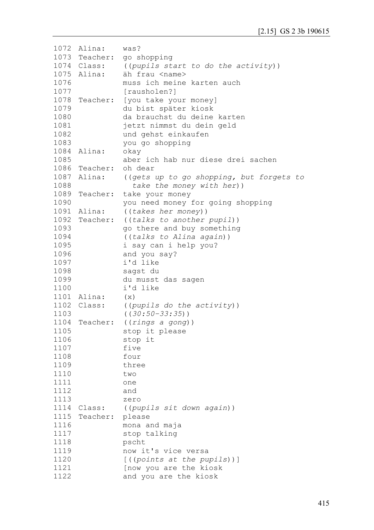| 1072 | Alina:        | was?                                     |
|------|---------------|------------------------------------------|
|      |               | 1073 Teacher: go shopping                |
|      | 1074 Class:   | ((pupils start to do the activity))      |
|      | 1075 Alina:   | äh frau <name></name>                    |
| 1076 |               | muss ich meine karten auch               |
| 1077 |               | [rausholen?]                             |
| 1078 |               | Teacher: [you take your money]           |
| 1079 |               | du bist später kiosk                     |
| 1080 |               | da brauchst du deine karten              |
| 1081 |               | jetzt nimmst du dein geld                |
| 1082 |               | und gehst einkaufen                      |
| 1083 |               | you go shopping                          |
| 1084 | Alina:        | okay                                     |
| 1085 |               | aber ich hab nur diese drei sachen       |
|      | 1086 Teacher: | oh dear                                  |
| 1087 | Alina:        |                                          |
|      |               | ((gets up to go shopping, but forgets to |
| 1088 |               | take the money with her))                |
| 1089 | Teacher:      | take your money                          |
| 1090 |               | you need money for going shopping        |
|      | 1091 Alina:   | ((takes her money))                      |
| 1092 |               | Teacher: ((talks to another pupil))      |
| 1093 |               | go there and buy something               |
| 1094 |               | ((talks to Alina again))                 |
| 1095 |               | i say can i help you?                    |
| 1096 |               | and you say?                             |
| 1097 |               | i'd like                                 |
| 1098 |               | sagst du                                 |
| 1099 |               | du musst das sagen                       |
| 1100 |               | i'd like                                 |
|      | 1101 Alina:   | (x)                                      |
|      | 1102 Class:   | ((pupils do the activity))               |
| 1103 |               | $((30:50-33:35))$                        |
| 1104 | Teacher:      | ((rings a gong))                         |
| 1105 |               | stop it please                           |
| 1106 |               | stop it                                  |
| 1107 |               | five                                     |
| 1108 |               | four                                     |
| 1109 |               | three                                    |
| 1110 |               | two                                      |
| 1111 |               | one                                      |
| 1112 |               | and                                      |
| 1113 |               | zero                                     |
| 1114 | Class:        | ((pupils sit down again))                |
| 1115 | Teacher:      | please                                   |
| 1116 |               | mona and maja                            |
| 1117 |               | stop talking                             |
| 1118 |               | pscht                                    |
| 1119 |               | now it's vice versa                      |
| 1120 |               | $[$ ((points at the pupils))]            |
| 1121 |               | [now you are the kiosk                   |
| 1122 |               | and you are the kiosk                    |
|      |               |                                          |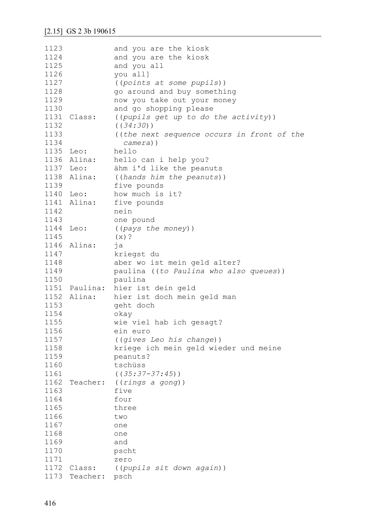| 1123      |               | and you are the kiosk                      |
|-----------|---------------|--------------------------------------------|
| 1124      |               |                                            |
|           |               | and you are the kiosk                      |
| 1125      |               | and you all                                |
| 1126      |               | you all]                                   |
| 1127      |               | ((points at some pupils))                  |
| 1128      |               | go around and buy something                |
| 1129      |               | now you take out your money                |
| 1130      |               | and go shopping please                     |
| 1131      | Class:        | ((pupils get up to do the activity))       |
| 1132      |               | ( (34:30) )                                |
| 1133      |               | ((the next sequence occurs in front of the |
| 1134      |               | $camera)$ )                                |
| 1135 Leo: |               | hello                                      |
|           | 1136 Alina:   | hello can i help you?                      |
| 1137 Leo: |               | ähm i'd like the peanuts                   |
|           | 1138 Alina:   | ((hands him the peanuts))                  |
| 1139      |               | five pounds                                |
| 1140 Leo: |               | how much is it?                            |
|           |               |                                            |
|           | 1141 Alina:   | five pounds                                |
| 1142      |               | nein                                       |
| 1143      |               | one pound                                  |
| 1144      | Leo:          | ((pays the money))                         |
| 1145      |               | $(x)$ ?                                    |
| 1146      | Alina:        | ja                                         |
| 1147      |               | kriegst du                                 |
| 1148      |               | aber wo ist mein geld alter?               |
| 1149      |               | paulina ((to Paulina who also queues))     |
| 1150      |               | paulina                                    |
|           | 1151 Paulina: | hier ist dein geld                         |
|           | 1152 Alina:   | hier ist doch mein geld man                |
| 1153      |               | geht doch                                  |
| 1154      |               | okay                                       |
| 1155      |               | wie viel hab ich gesagt?                   |
| 1156      |               | ein euro                                   |
| 1157      |               | ((gives Leo his change))                   |
| 1158      |               | kriege ich mein geld wieder und meine      |
| 1159      |               | peanuts?                                   |
| 1160      |               | tschüss                                    |
| 1161      |               | $((35:37-37:45))$                          |
| 1162      | Teacher:      | ((rings a gong))                           |
| 1163      |               | five                                       |
| 1164      |               | four                                       |
|           |               |                                            |
| 1165      |               | three                                      |
| 1166      |               | two                                        |
| 1167      |               | one                                        |
| 1168      |               | one                                        |
| 1169      |               | and                                        |
| 1170      |               | pscht                                      |
| 1171      |               | zero                                       |
| 1172      | Class:        | ((pupils sit down again))                  |
|           | 1173 Teacher: | psch                                       |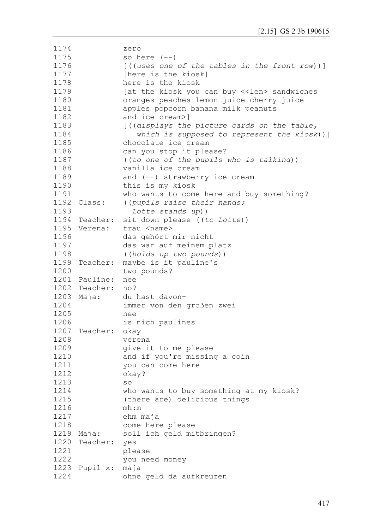```
1174
1175
1176
1177
1178
1179
1180
1181
1182
1183
1184
1185
1186
1187
1188
1189
1190
1191
1192 Class:
1193
1194
Teacher: sit down please ((to Lotte))
1195
Verena: frau <name> 
1196
1197
1198
1199
Teacher: maybe is it pauline's 
1200
1201
Pauline: nee
1202
Teacher: no?
1203 Maja:
1204
1205
1206
1207
Teacher: okay 
1208
1209
1210
1211
1212
1213
1214
1215
1216
1217
1218
1219 Maja:
1220
Teacher: yes
1221
1222
1223
Pupil_x: maja 
1224
                zero 
               so here (--)[((uses one of the tables in the front row))]
               [here is the kiosk]
               here is the kiosk
               [at the kiosk you can buy <<len> sandwiches
              oranges peaches lemon juice cherry juice 
               apples popcorn banana milk peanuts 
               and ice cream>]
               [((displays the picture cards on the table, 
                    which is supposed to represent the kiosk))]
               chocolate ice cream
               can you stop it please? 
               ((to one of the pupils who is talking))
               vanilla ice cream
               and (--) strawberry ice cream 
               this is my kiosk 
               who wants to come here and buy something?
              Class: ((pupils raise their hands; 
                  Lotte stands up))
               das gehört mir nicht 
              das war auf meinem platz
               ((holds up two pounds))
               two pounds?
               du hast davon-
               immer von den großen zwei
               nee 
               is nich paulines
               verena 
               give it to me please
               and if you're missing a coin 
               you can come here 
               okay?
               so
               who wants to buy something at my kiosk?
               (there are) delicious things 
               mh:m
               ehm maja 
               come here please
               soll ich geld mitbringen?
               please
               you need money 
               ohne geld da aufkreuzen
```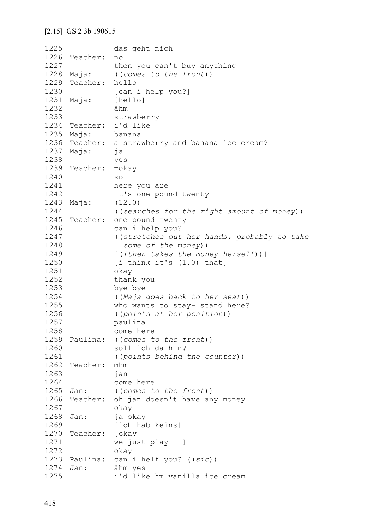```
1225
1226
Teacher: no
1227
1228 Maja:
1229
Teacher: hello
1230
1231 Maja:
1232
1233
1234
Teacher: i'd like
1235 Maja:
1236
Teacher: a strawberry and banana ice cream?
1237
Maja: ja 
1238
1239
Teacher: =okay 
1240
1241
1242
1243 Maja:
1244
1245
Teacher: one pound twenty
1246
1247
1248
1249
1250
1251
1252
1253
1254
1255
1256
1257
1258
1259
Paulina: ((comes to the front))
1260
1261
1262
Teacher: mhm 
1263
1264
1265 Jan:
1266
Teacher: oh jan doesn't have any money
1267
1268 Jan:
1269
1270
Teacher: [okay 
1271
1272
1273
Paulina: can i helf you? ((sic))
1274 Jan:
1275
               das geht nich
               then you can't buy anything 
               Maja: ((comes to the front))
               [can i help you?]
               [hello]
               ähm
               strawberry
               banana
               yes=
               so
               here you are 
               it's one pound twenty 
               (12.0)((searches for the right amount of money))
               can i help you?
                ((stretches out her hands, probably to take 
                   some of the money))
                [((then takes the money herself))]
               [i think it's (1.0) that]
               okay
               thank you
               bye-bye
               ((Maja goes back to her seat))
               who wants to stay- stand here?
                ((points at her position))
               paulina
               come here
               soll ich da hin?
                ((points behind the counter))
               jan
               come here
               ((comes to the front))
               okay
               ja okay
               [ich hab keins]
               we just play it]
               okay
               ähm yes
               i'd like hm vanilla ice cream
```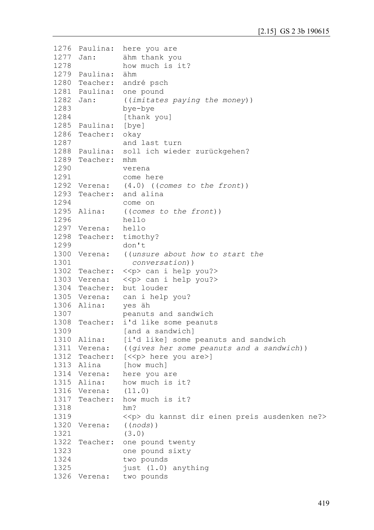```
1276
Paulina: here you are
1277 Jan:
1278
1279
Paulina: ähm
1280
Teacher: andré psch
1281
Paulina: one pound 
1282 Jan:
1283
1284
1285
Paulina: [bye]
1286
Teacher: okay
1287
1288
Paulina: soll ich wieder zurückgehen?
1289
Teacher: mhm 
1290
1291
1292 Verena:
1293
Teacher: and alina
1294
1295 Alina:
1296
1297
Verena: hello 
1298
Teacher: timothy? 
1299
1300
Verena: ((unsure about how to start the 
1301
1302
Teacher: <<p> can i help you?>
1303
Verena: <<p> can i help you?> 
1304
Teacher: but louder
1305
Verena: can i help you?
1306 Alina:
1307
1308
Teacher: i'd like some peanuts 
1309
1310 Alina:
1311 Verena:
1312 Teacher: [<<p> here you are>]
1313 Alina
1314 Verena:
1315 Alina:
1316
Verena: (11.0)
1317
Teacher: how much is it? 
1318
1319
1320 Verena:
1321
1322
Teacher: one pound twenty
1323
1324
1325
1326
Verena: two pounds ähm thank you
               how much is it?
               ((imitates paying the money))
               bye-bye
               [thank you]
               and last turn
               verena
               come here
              (4.0) ((comes to the front))
               come on 
               Alina: ((comes to the front))
               hello
              don't
                  conversation))
              yes äh
               peanuts and sandwich 
               [and a sandwich]
              [i'd like] some peanuts and sandwich
              ((gives her some peanuts and a sandwich))
              [how much]
               here you are
              how much is it?
               hm? 
               <<p> du kannst dir einen preis ausdenken ne?>
               Verena: ((nods))
               (3.0)
               one pound sixty
               two pounds
               just (1.0) anything
```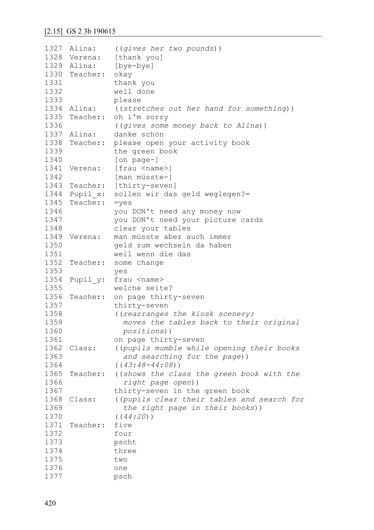#### [2.15] GS 2 3b 190615

```
1327 Alina:
1328 Verena:
1329 Alina:
1330
Teacher: okay 
1331
1332
1333
1334 Alina:
1335
Teacher: oh i'm sorry 
1336
1337 Alina:
1338
Teacher: please open your activity book 
1339
1340
1341 Verena:
1342
1343
Teacher: [thirty-seven]
1344
Pupil_x: sollen wir das geld weglegen?=
1345
Teacher: =yes
1346
1347
1348
1349 Verena:
1350
1351
1352
1353
1354
Pupil_y: frau <name> 
1355
1356
Teacher: on page thirty-seven 
1357
1358
1359
1360
1361
1362 Class:
1363
1364
1365
1366
1367
1368 Class:
1369
1370
1371
1372
1373
1374
1375
1376
1377
                Alina: ((gives her two pounds))
                [thank you]
                [bye-bye]
                thank you
                well done
                please
                Alina: ((stretches out her hand for something))
                ((gives some money back to Alina))
                danke schön
                the green book
                [on page-]
               [frau <name>]
                [man müsste-]
                you DON't need any money now
                you DON't need your picture cards
                clear your tables
                man müsste aber auch immer
                geld zum wechseln da haben 
                weil wenn die das
     Teacher: some change 
                yes
                welche seite?
                thirty-seven 
                ((rearranges the kiosk scenery;
                   moves the tables back to their original 
                   positions))
                on page thirty-seven 
                Class: ((pupils mumble while opening their books
                   and searching for the page))
                ((43:48-44:08))
     Teacher: ((shows the class the green book with the 
                   right page open))
                thirty-seven in the green book 
                ((pupils clear their tables and search for
                   the right page in their books))
                ((44:20))
     Teacher: five
                four
                pscht
                three
                two
                one
                psch
```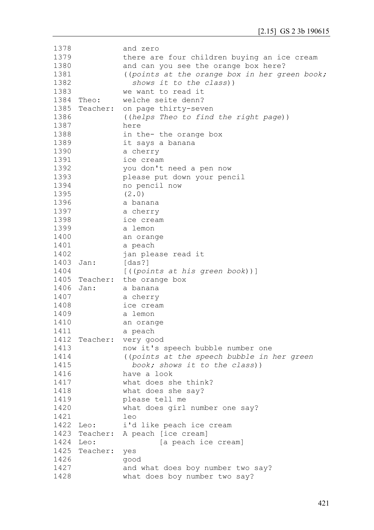| 1378      |          | and zero                                      |
|-----------|----------|-----------------------------------------------|
| 1379      |          | there are four children buying an ice cream   |
| 1380      |          | and can you see the orange box here?          |
| 1381      |          | ((points at the orange box in her green book; |
| 1382      |          | shows it to the class))                       |
| 1383      |          | we want to read it                            |
| 1384      | Theo:    | welche seite denn?                            |
| 1385      |          |                                               |
|           |          | Teacher: on page thirty-seven                 |
| 1386      |          | ((helps Theo to find the right page))         |
| 1387      |          | here                                          |
| 1388      |          | in the- the orange box                        |
| 1389      |          | it says a banana                              |
| 1390      |          | a cherry                                      |
| 1391      |          | ice cream                                     |
| 1392      |          | you don't need a pen now                      |
| 1393      |          | please put down your pencil                   |
| 1394      |          | no pencil now                                 |
| 1395      |          | (2.0)                                         |
| 1396      |          | a banana                                      |
| 1397      |          | a cherry                                      |
| 1398      |          | ice cream                                     |
| 1399      |          |                                               |
| 1400      |          | a lemon                                       |
|           |          | an orange                                     |
| 1401      |          | a peach                                       |
| 1402      |          | jan please read it                            |
| 1403      | Jan:     | [das?]                                        |
| 1404      |          | $[$ ((points at his green book))]             |
|           |          | 1405 Teacher: the orange box                  |
| 1406      | Jan:     | a banana                                      |
| 1407      |          | a cherry                                      |
| 1408      |          | ice cream                                     |
| 1409      |          | a lemon                                       |
| 1410      |          | an orange                                     |
| 1411      |          | a peach                                       |
| 1412      | Teacher: | very good                                     |
| 1413      |          | now it's speech bubble number one             |
| 1414      |          | ((points at the speech bubble in her green    |
| 1415      |          | book; shows it to the class))                 |
| 1416      |          | have a look                                   |
| 1417      |          | what does she think?                          |
|           |          |                                               |
| 1418      |          | what does she say?                            |
| 1419      |          | please tell me                                |
| 1420      |          | what does girl number one say?                |
| 1421      |          | leo                                           |
| 1422 Leo: |          | i'd like peach ice cream                      |
|           |          | 1423 Teacher: A peach [ice cream]             |
| 1424      | Leo:     | [a peach ice cream]                           |
| 1425      | Teacher: | yes                                           |
| 1426      |          | good                                          |
| 1427      |          | and what does boy number two say?             |
| 1428      |          | what does boy number two say?                 |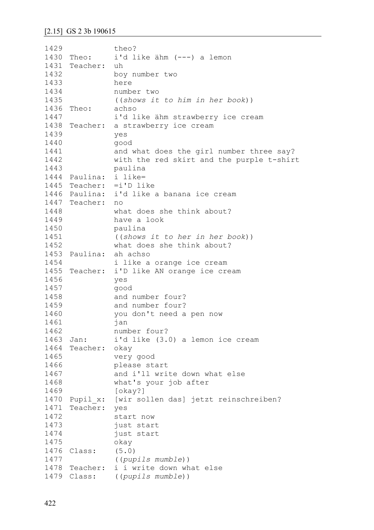1429 1430 Theo: 1431 Teacher: uh 1432 1433 1434 1435 1436 Theo: achso 1447 1438 Teacher: a strawberry ice cream 1439 1440 1441 1442 1443 1444 Paulina: i like= 1445 Teacher: =i'D like 1446 Paulina: i'd like a banana ice cream 1447 Teacher: no 1448 1449 1450 1451 1452 1453 Paulina: ah achso 1454 1455 Teacher: i'D like AN orange ice cream 1456 1457 1458 1459 1460 1461 1462 1463 Jan: 1464 Teacher: okay 1465 1466 1467 1468 1469 1470 Pupil\_x: [wir sollen das] jetzt reinschreiben? 1471 Teacher: yes 1472 1473 1474 1475 1476 Class: (5.0) 1477 1478 Teacher: i i write down what else 1479 Class: ((*pupils mumble*))theo? i'd like ähm (---) a lemon boy number two here number two ((*shows it to him in her book*)) i'd like ähm strawberry ice cream yes good and what does the girl number three say? with the red skirt and the purple t-shirt paulina what does she think about? have a look paulina ((*shows it to her in her book*)) what does she think about? i like a orange ice cream yes good and number four? and number four? you don't need a pen now jan number four? i'd like (3.0) a lemon ice cream very good please start and i'll write down what else what's your job after [okay?] start now just start just start okay ((*pupils mumble*))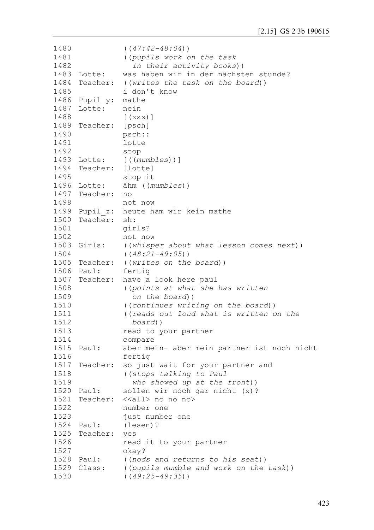```
1480
1481
1482
1483 Lotte:
1484
Teacher: ((writes the task on the board))
1485
1486
Pupil_y: mathe
1487
Lotte: nein
1488
1489
Teacher: [psch] 
1490
1491
1492
1493 Lotte:
1494
Teacher: [lotte] 
1495
1496 Lotte:
1497
Teacher: no
1498
1499
Pupil_z: heute ham wir kein mathe
1500
Teacher: sh:
1501
1502
1503 Girls:
1504
1505
Teacher: ((writes on the board))
1506 Paul:
1507
Teacher: have a look here paul 
1508
1509
1510
1511
1512
1513
1514
1515 Paul:
1516
1517
Teacher: so just wait for your partner and
1518
1519
1520 Paul:
1521 Teacher:
1522
1523
1524 Paul:
1525
Teacher: yes 
1526
1527
1528 Paul:
1529 Class:
1530
                ((47:42-48:04))
                ((pupils work on the task 
                   in their activity books))
                was haben wir in der nächsten stunde?
                i don't know
                [(xxx)]
                psch::
                lotte 
                stop
               Lotte: [((mumbles))]
                stop it 
               Lotte: ähm ((mumbles))
                not now
                girls?
               not now
               Girls: ((whisper about what lesson comes next))
                ((48:21-49:05))
               fertig
               ((points at what she has written 
                   on the board))
                ((continues writing on the board))
                ((reads out loud what is written on the 
                  board))
                read to your partner 
                compare
                aber mein- aber mein partner ist noch nicht
                fertig
                ((stops talking to Paul 
                   who showed up at the front))
                sollen wir noch gar nicht (x)?
               <<all> no no no>
                number one 
                just number one
                (lesen)?
                read it to your partner 
                okay?
                ((nods and returns to his seat))
               ((pupils mumble and work on the task))
                ((49:25-49:35))
```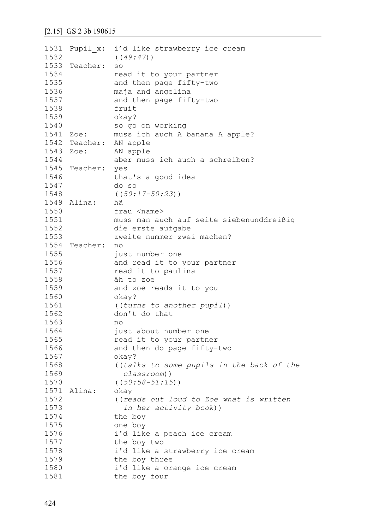```
1531
Pupil_x: i'd like strawberry ice cream
1532
1533
Teacher: so 
1534
1535
1536
1537
1538
1539
1540
1541
Zoe: muss ich auch A banana A apple?
1542
Teacher: AN apple
1543 Zoe:
1544
1545
Teacher: yes 
1546
1547
1548
1549
Alina: hä
1550
1551
1552
1553
1554
Teacher: no
1555
1556
1557
1558
1559
1560
1561
1562
1563
1564
1565
1566
1567
1568
1569
1570
1571
Alina: okay 
1572
1573
1574
1575
1576
1577
1578
1579
1580
1581
               ((49:47))
               read it to your partner 
              and then page fifty-two
               maja and angelina
               and then page fifty-two 
               fruit
               okay? 
               so go on working
              AN apple
               aber muss ich auch a schreiben?
               that's a good idea
               do so
               ((50:17-50:23))
               frau <name>
               muss man auch auf seite siebenunddreißig 
               die erste aufgabe
               zweite nummer zwei machen?
               just number one 
               and read it to your partner 
               read it to paulina
               äh to zoe
               and zoe reads it to you 
               okay?
               ((turns to another pupil))
               don't do that
               no 
               just about number one 
               read it to your partner 
               and then do page fifty-two 
               okay? 
                ((talks to some pupils in the back of the 
                   classroom))
               ((50:58-51:15))
                ((reads out loud to Zoe what is written 
                  in her activity book))
               the boy 
               one boy 
               i'd like a peach ice cream 
               the boy two
               i'd like a strawberry ice cream 
               the boy three
               i'd like a orange ice cream 
               the boy four
```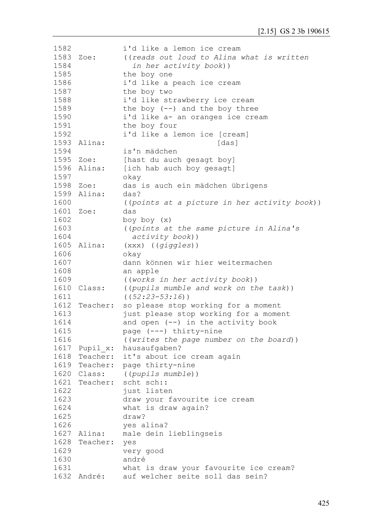| 1582 |               | i'd like a lemon ice cream                   |
|------|---------------|----------------------------------------------|
| 1583 | Zoe:          | ((reads out loud to Alina what is written    |
| 1584 |               | in her activity book))                       |
| 1585 |               | the boy one                                  |
| 1586 |               | i'd like a peach ice cream                   |
| 1587 |               | the boy two                                  |
| 1588 |               | i'd like strawberry ice cream                |
| 1589 |               | the boy $(--)$ and the boy three             |
| 1590 |               | i'd like a- an oranges ice cream             |
| 1591 |               | the boy four                                 |
| 1592 |               | i'd like a lemon ice [cream]                 |
| 1593 | Alina:        | [das]                                        |
| 1594 |               | is'n mädchen                                 |
| 1595 | Zoe:          | [hast du auch gesagt boy]                    |
| 1596 | Alina:        | [ich hab auch boy gesagt]                    |
| 1597 |               |                                              |
|      |               | okay                                         |
| 1598 | Zoe:          | das is auch ein mädchen übrigens             |
| 1599 | Alina:        | das?                                         |
| 1600 |               | ((points at a picture in her activity book)) |
| 1601 | Zoe:          | das                                          |
| 1602 |               | boy boy (x)                                  |
| 1603 |               | ((points at the same picture in Alina's      |
| 1604 |               | activity book))                              |
| 1605 | Alina:        | $(xxx)$ ((giggles))                          |
| 1606 |               | okay                                         |
| 1607 |               | dann können wir hier weitermachen            |
| 1608 |               | an apple                                     |
| 1609 |               | ((works in her activity book))               |
| 1610 | Class:        | ((pupils mumble and work on the task))       |
| 1611 |               | $((52:23-53:16))$                            |
| 1612 | Teacher:      | so please stop working for a moment          |
| 1613 |               | just please stop working for a moment        |
| 1614 |               | and open (--) in the activity book           |
| 1615 |               | page (---) thirty-nine                       |
| 1616 |               | ((writes the page number on the board))      |
| 1617 | Pupil x:      | hausaufgaben?                                |
| 1618 | Teacher:      | it's about ice cream again                   |
|      |               | 1619 Teacher: page thirty-nine               |
|      | 1620 Class:   | ((pupils mumble))                            |
|      | 1621 Teacher: | scht sch::                                   |
| 1622 |               | just listen                                  |
| 1623 |               | draw your favourite ice cream                |
| 1624 |               | what is draw again?                          |
| 1625 |               | draw?                                        |
| 1626 |               | yes alina?                                   |
|      | 1627 Alina:   | male dein lieblingseis                       |
| 1628 | Teacher:      | yes                                          |
| 1629 |               |                                              |
| 1630 |               | very good<br>andré                           |
|      |               |                                              |
| 1631 |               | what is draw your favourite ice cream?       |
| 1632 | André:        | auf welcher seite soll das sein?             |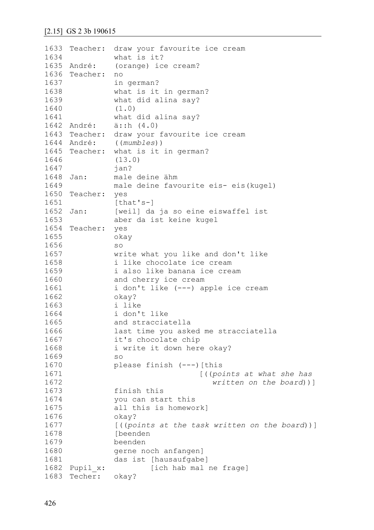```
1633
Teacher: draw your favourite ice cream
1634
1635 André:
1636
Teacher: no
1637
1638
1639
1640
1641
1642 André:
1643
Teacher: draw your favourite ice cream
1644 André:
1645
Teacher: what is it in german? 
1646
1647
1648 Jan:
1649
1650
Teacher: yes
1651
1652 Jan:
1653
1654
Teacher: yes 
1655
1656
1657
1658
1659
1660
1661
1662
1663
1664
1665
1666
1667
1668
1669
1670
1671
1672
1673
1674
1675
1676
1677
1678
1679
1680
1681
1682 Pupil x:
1683
Techer: okay?what is it? 
                (orange) ice cream?
                in german? 
                what is it in german? 
                what did alina say? 
                (1.0)
                what did alina say?
               a:ih (4.0)André: ((mumbles)) 
                (13.0)
                jan?
                male deine ähm
                male deine favourite eis- eis(kugel)
                [that's-]
                [weil] da ja so eine eiswaffel ist
                aber da ist keine kugel 
                okay 
                so
                write what you like and don't like 
                i like chocolate ice cream 
                i also like banana ice cream 
                and cherry ice cream 
                i don't like (---) apple ice cream 
                okay? 
                i like 
                i don't like 
                and stracciatella 
                last time you asked me stracciatella 
                it's chocolate chip
                i write it down here okay?
                so
                please finish (---)[this
                                     [((points at what she has 
                                        written on the board))]
                finish this
                you can start this
                all this is homework]
                okay? 
                [((points at the task written on the board))]
                [beenden 
                beenden 
                gerne noch anfangen] 
                das ist [hausaufgabe] 
                        [ich hab mal ne frage]
```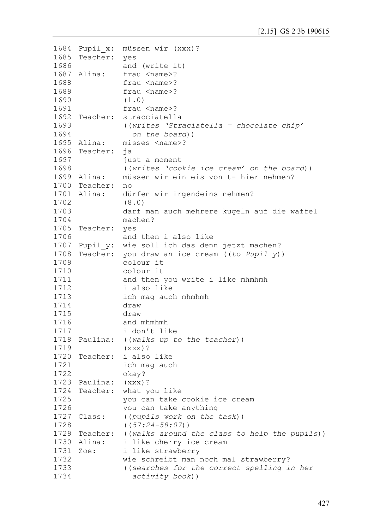```
1684
Pupil_x: müssen wir (xxx)?
1685
Teacher: yes 
1686
1687 Alina:
1688
1689
1690
1691
1692
Teacher: stracciatella
1693
1694
1695 Alina:
1696
Teacher: ja
1697
1698
1699 Alina:
1700
Teacher: no
1701 Alina:
1702
1703
1704
1705
Teacher: yes 
1706
1707
Pupil_y: wie soll ich das denn jetzt machen?
1708
Teacher: you draw an ice cream ((to Pupil_y))
1709
1710
1711
1712
1713
1714
1715
1716
1717
1718
Paulina: ((walks up to the teacher))
1719
1720
Teacher: i also like 
1721
1722
1723
Paulina: (xxx)?
1724
Teacher: what you like 
1725
1726
1727 Class:
1728
1729
Teacher: ((walks around the class to help the pupils))
1730 Alina:
1731 Zoe:
1732
1733
1734
               and (write it)
               frau <name>?
               frau <name>?
               frau <name>?
               (1.0)
               frau <name>?
               ((writes 'Straciatella = chocolate chip' 
                  on the board)) 
               misses <name>?
               just a moment
               ((writes 'cookie ice cream' on the board))
               müssen wir ein eis von t- hier nehmen?
               dürfen wir irgendeins nehmen?
               (8.0)
               darf man auch mehrere kugeln auf die waffel
               machen?
               and then i also like
               colour it 
               colour it 
               and then you write i like mhmhmh
               i also like 
               ich mag auch mhmhmh
               draw 
               draw 
               and mhmhmh 
               i don't like
               (xxx)?
               ich mag auch
               okay?
               you can take cookie ice cream 
               you can take anything
               Class: ((pupils work on the task))
               ((57:24-58:07))
               i like cherry ice cream
               i like strawberry
               wie schreibt man noch mal strawberry?
               ((searches for the correct spelling in her
                  activity book))
```